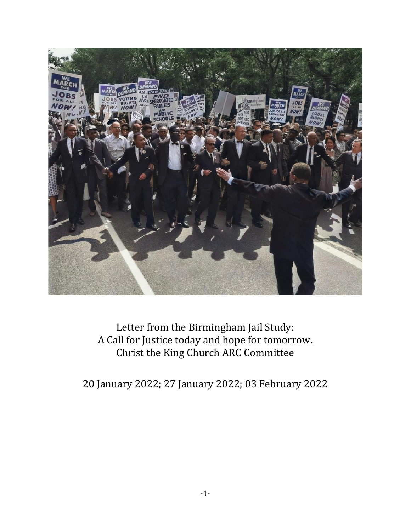

Letter from the Birmingham Jail Study: A Call for Justice today and hope for tomorrow. Christ the King Church ARC Committee

20 January 2022; 27 January 2022; 03 February 2022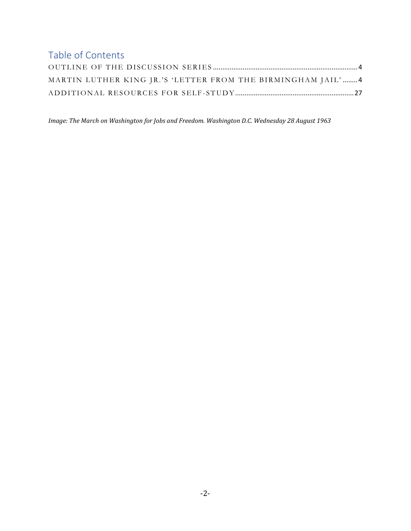## Table of Contents

| MARTIN LUTHER KING JR.'S 'LETTER FROM THE BIRMINGHAM JAIL'  4 |  |
|---------------------------------------------------------------|--|
|                                                               |  |

*Image: The March on Washington for Jobs and Freedom. Washington D.C. Wednesday 28 August 1963*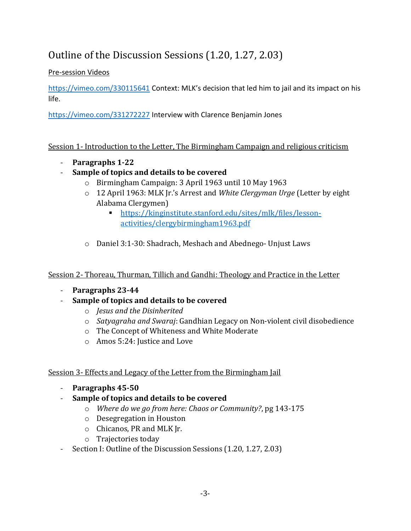# Outline of the Discussion Sessions (1.20, 1.27, 2.03)

#### Pre-session Videos

<https://vimeo.com/330115641> Context: MLK's decision that led him to jail and its impact on his life.

<https://vimeo.com/331272227> Interview with Clarence Benjamin Jones

Session 1- Introduction to the Letter, The Birmingham Campaign and religious criticism

- **Paragraphs 1-22**
- **Sample of topics and details to be covered**
	- o Birmingham Campaign: 3 April 1963 until 10 May 1963
	- o 12 April 1963: MLK Jr.'s Arrest and *White Clergyman Urge* (Letter by eight Alabama Clergymen)
		- [https://kinginstitute.stanford.edu/sites/mlk/files/lesson](https://kinginstitute.stanford.edu/sites/mlk/files/lesson-activities/clergybirmingham1963.pdf)[activities/clergybirmingham1963.pdf](https://kinginstitute.stanford.edu/sites/mlk/files/lesson-activities/clergybirmingham1963.pdf)
	- o Daniel 3:1-30: Shadrach, Meshach and Abednego- Unjust Laws

#### Session 2- Thoreau, Thurman, Tillich and Gandhi: Theology and Practice in the Letter

- **Paragraphs 23-44**
- **Sample of topics and details to be covered**
	- o *Jesus and the Disinherited*
	- o *Satyagraha and Swaraj*: Gandhian Legacy on Non-violent civil disobedience
	- o The Concept of Whiteness and White Moderate
	- o Amos 5:24: Justice and Love

#### Session 3- Effects and Legacy of the Letter from the Birmingham Jail

- **Paragraphs 45-50**
- **Sample of topics and details to be covered**
	- o *Where do we go from here: Chaos or Community?*, pg 143-175
	- o Desegregation in Houston
	- o Chicanos, PR and MLK Jr.
	- o Trajectories today
- Section I: Outline of the Discussion Sessions (1.20, 1.27, 2.03)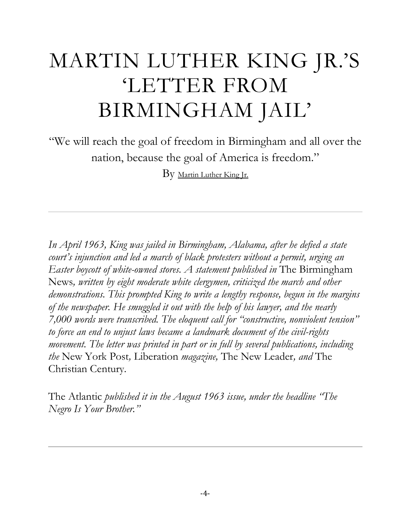# <span id="page-3-0"></span>MARTIN LUTHER KING JR.'S 'LETTER FROM BIRMINGHAM JAIL'

"We will reach the goal of freedom in Birmingham and all over the nation, because the goal of America is freedom."

By [Martin Luther King Jr.](https://www.theatlantic.com/author/martin-luther-king-jr/)

*In April 1963, King was jailed in Birmingham, Alabama, after he defied a state court's injunction and led a march of black protesters without a permit, urging an Easter boycott of white-owned stores. A statement published in* The Birmingham News*, written by eight moderate white clergymen, criticized the march and other demonstrations. This prompted King to write a lengthy response, begun in the margins of the newspaper. He smuggled it out with the help of his lawyer, and the nearly 7,000 words were transcribed. The eloquent call for "constructive, nonviolent tension" to force an end to unjust laws became a landmark document of the civil-rights movement. The letter was printed in part or in full by several publications, including the* New York Post*,* Liberation *magazine,* The New Leader*, and* The Christian Century*.*

The Atlantic *published it in the August 1963 issue, under the headline "The Negro Is Your Brother."*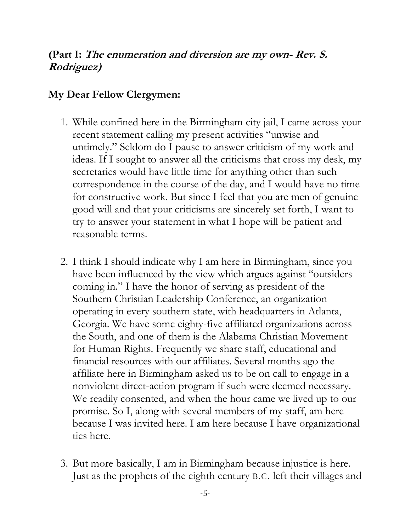## **(Part I: The enumeration and diversion are my own- Rev. S. Rodriguez)**

### **My Dear Fellow Clergymen:**

- 1. While confined here in the Birmingham city jail, I came across your recent statement calling my present activities "unwise and untimely." Seldom do I pause to answer criticism of my work and ideas. If I sought to answer all the criticisms that cross my desk, my secretaries would have little time for anything other than such correspondence in the course of the day, and I would have no time for constructive work. But since I feel that you are men of genuine good will and that your criticisms are sincerely set forth, I want to try to answer your statement in what I hope will be patient and reasonable terms.
- 2. I think I should indicate why I am here in Birmingham, since you have been influenced by the view which argues against "outsiders coming in." I have the honor of serving as president of the Southern Christian Leadership Conference, an organization operating in every southern state, with headquarters in Atlanta, Georgia. We have some eighty-five affiliated organizations across the South, and one of them is the Alabama Christian Movement for Human Rights. Frequently we share staff, educational and financial resources with our affiliates. Several months ago the affiliate here in Birmingham asked us to be on call to engage in a nonviolent direct-action program if such were deemed necessary. We readily consented, and when the hour came we lived up to our promise. So I, along with several members of my staff, am here because I was invited here. I am here because I have organizational ties here.
- 3. But more basically, I am in Birmingham because injustice is here. Just as the prophets of the eighth century B.C. left their villages and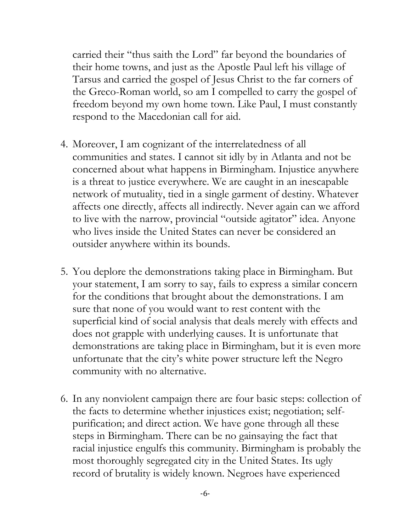carried their "thus saith the Lord" far beyond the boundaries of their home towns, and just as the Apostle Paul left his village of Tarsus and carried the gospel of Jesus Christ to the far corners of the Greco-Roman world, so am I compelled to carry the gospel of freedom beyond my own home town. Like Paul, I must constantly respond to the Macedonian call for aid.

- 4. Moreover, I am cognizant of the interrelatedness of all communities and states. I cannot sit idly by in Atlanta and not be concerned about what happens in Birmingham. Injustice anywhere is a threat to justice everywhere. We are caught in an inescapable network of mutuality, tied in a single garment of destiny. Whatever affects one directly, affects all indirectly. Never again can we afford to live with the narrow, provincial "outside agitator" idea. Anyone who lives inside the United States can never be considered an outsider anywhere within its bounds.
- 5. You deplore the demonstrations taking place in Birmingham. But your statement, I am sorry to say, fails to express a similar concern for the conditions that brought about the demonstrations. I am sure that none of you would want to rest content with the superficial kind of social analysis that deals merely with effects and does not grapple with underlying causes. It is unfortunate that demonstrations are taking place in Birmingham, but it is even more unfortunate that the city's white power structure left the Negro community with no alternative.
- 6. In any nonviolent campaign there are four basic steps: collection of the facts to determine whether injustices exist; negotiation; selfpurification; and direct action. We have gone through all these steps in Birmingham. There can be no gainsaying the fact that racial injustice engulfs this community. Birmingham is probably the most thoroughly segregated city in the United States. Its ugly record of brutality is widely known. Negroes have experienced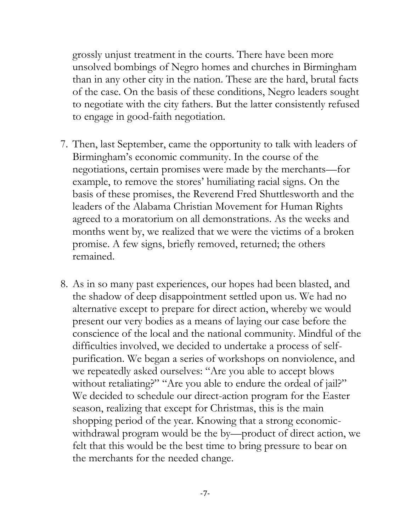grossly unjust treatment in the courts. There have been more unsolved bombings of Negro homes and churches in Birmingham than in any other city in the nation. These are the hard, brutal facts of the case. On the basis of these conditions, Negro leaders sought to negotiate with the city fathers. But the latter consistently refused to engage in good-faith negotiation.

- 7. Then, last September, came the opportunity to talk with leaders of Birmingham's economic community. In the course of the negotiations, certain promises were made by the merchants—for example, to remove the stores' humiliating racial signs. On the basis of these promises, the Reverend Fred Shuttlesworth and the leaders of the Alabama Christian Movement for Human Rights agreed to a moratorium on all demonstrations. As the weeks and months went by, we realized that we were the victims of a broken promise. A few signs, briefly removed, returned; the others remained.
- 8. As in so many past experiences, our hopes had been blasted, and the shadow of deep disappointment settled upon us. We had no alternative except to prepare for direct action, whereby we would present our very bodies as a means of laying our case before the conscience of the local and the national community. Mindful of the difficulties involved, we decided to undertake a process of selfpurification. We began a series of workshops on nonviolence, and we repeatedly asked ourselves: "Are you able to accept blows without retaliating?" "Are you able to endure the ordeal of jail?" We decided to schedule our direct-action program for the Easter season, realizing that except for Christmas, this is the main shopping period of the year. Knowing that a strong economicwithdrawal program would be the by—product of direct action, we felt that this would be the best time to bring pressure to bear on the merchants for the needed change.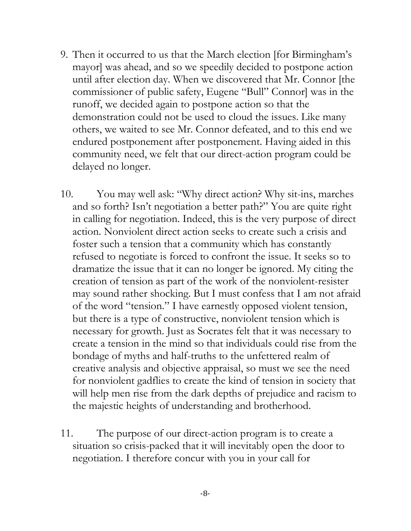- 9. Then it occurred to us that the March election [for Birmingham's mayor] was ahead, and so we speedily decided to postpone action until after election day. When we discovered that Mr. Connor [the commissioner of public safety, Eugene "Bull" Connor] was in the runoff, we decided again to postpone action so that the demonstration could not be used to cloud the issues. Like many others, we waited to see Mr. Connor defeated, and to this end we endured postponement after postponement. Having aided in this community need, we felt that our direct-action program could be delayed no longer.
- 10. You may well ask: "Why direct action? Why sit-ins, marches and so forth? Isn't negotiation a better path?" You are quite right in calling for negotiation. Indeed, this is the very purpose of direct action. Nonviolent direct action seeks to create such a crisis and foster such a tension that a community which has constantly refused to negotiate is forced to confront the issue. It seeks so to dramatize the issue that it can no longer be ignored. My citing the creation of tension as part of the work of the nonviolent-resister may sound rather shocking. But I must confess that I am not afraid of the word "tension." I have earnestly opposed violent tension, but there is a type of constructive, nonviolent tension which is necessary for growth. Just as Socrates felt that it was necessary to create a tension in the mind so that individuals could rise from the bondage of myths and half-truths to the unfettered realm of creative analysis and objective appraisal, so must we see the need for nonviolent gadflies to create the kind of tension in society that will help men rise from the dark depths of prejudice and racism to the majestic heights of understanding and brotherhood.
- 11. The purpose of our direct-action program is to create a situation so crisis-packed that it will inevitably open the door to negotiation. I therefore concur with you in your call for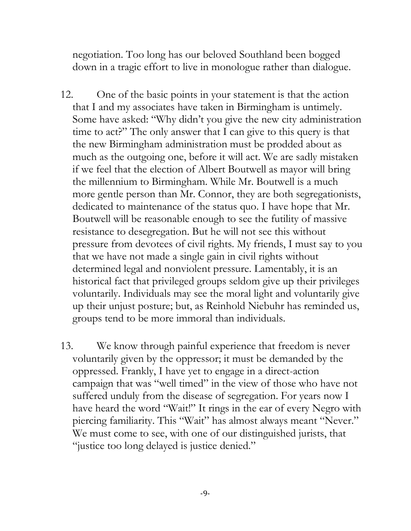negotiation. Too long has our beloved Southland been bogged down in a tragic effort to live in monologue rather than dialogue.

- 12. One of the basic points in your statement is that the action that I and my associates have taken in Birmingham is untimely. Some have asked: "Why didn't you give the new city administration time to act?" The only answer that I can give to this query is that the new Birmingham administration must be prodded about as much as the outgoing one, before it will act. We are sadly mistaken if we feel that the election of Albert Boutwell as mayor will bring the millennium to Birmingham. While Mr. Boutwell is a much more gentle person than Mr. Connor, they are both segregationists, dedicated to maintenance of the status quo. I have hope that Mr. Boutwell will be reasonable enough to see the futility of massive resistance to desegregation. But he will not see this without pressure from devotees of civil rights. My friends, I must say to you that we have not made a single gain in civil rights without determined legal and nonviolent pressure. Lamentably, it is an historical fact that privileged groups seldom give up their privileges voluntarily. Individuals may see the moral light and voluntarily give up their unjust posture; but, as Reinhold Niebuhr has reminded us, groups tend to be more immoral than individuals.
- 13. We know through painful experience that freedom is never voluntarily given by the oppressor; it must be demanded by the oppressed. Frankly, I have yet to engage in a direct-action campaign that was "well timed" in the view of those who have not suffered unduly from the disease of segregation. For years now I have heard the word "Wait!" It rings in the ear of every Negro with piercing familiarity. This "Wait" has almost always meant "Never." We must come to see, with one of our distinguished jurists, that "justice too long delayed is justice denied."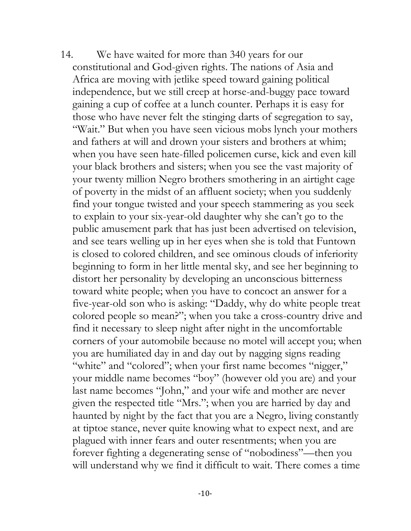14. We have waited for more than 340 years for our constitutional and God-given rights. The nations of Asia and Africa are moving with jetlike speed toward gaining political independence, but we still creep at horse-and-buggy pace toward gaining a cup of coffee at a lunch counter. Perhaps it is easy for those who have never felt the stinging darts of segregation to say, "Wait." But when you have seen vicious mobs lynch your mothers and fathers at will and drown your sisters and brothers at whim; when you have seen hate-filled policemen curse, kick and even kill your black brothers and sisters; when you see the vast majority of your twenty million Negro brothers smothering in an airtight cage of poverty in the midst of an affluent society; when you suddenly find your tongue twisted and your speech stammering as you seek to explain to your six-year-old daughter why she can't go to the public amusement park that has just been advertised on television, and see tears welling up in her eyes when she is told that Funtown is closed to colored children, and see ominous clouds of inferiority beginning to form in her little mental sky, and see her beginning to distort her personality by developing an unconscious bitterness toward white people; when you have to concoct an answer for a five-year-old son who is asking: "Daddy, why do white people treat colored people so mean?"; when you take a cross-country drive and find it necessary to sleep night after night in the uncomfortable corners of your automobile because no motel will accept you; when you are humiliated day in and day out by nagging signs reading "white" and "colored"; when your first name becomes "nigger," your middle name becomes "boy" (however old you are) and your last name becomes "John," and your wife and mother are never given the respected title "Mrs."; when you are harried by day and haunted by night by the fact that you are a Negro, living constantly at tiptoe stance, never quite knowing what to expect next, and are plagued with inner fears and outer resentments; when you are forever fighting a degenerating sense of "nobodiness"—then you will understand why we find it difficult to wait. There comes a time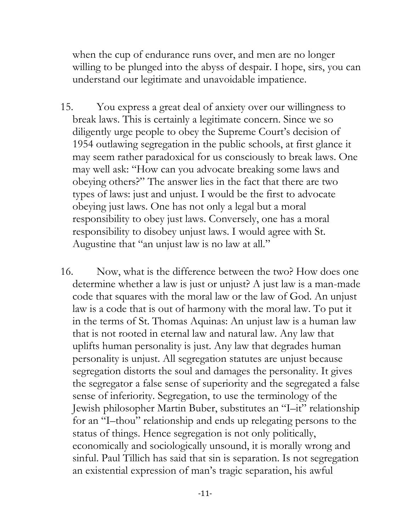when the cup of endurance runs over, and men are no longer willing to be plunged into the abyss of despair. I hope, sirs, you can understand our legitimate and unavoidable impatience.

- 15. You express a great deal of anxiety over our willingness to break laws. This is certainly a legitimate concern. Since we so diligently urge people to obey the Supreme Court's decision of 1954 outlawing segregation in the public schools, at first glance it may seem rather paradoxical for us consciously to break laws. One may well ask: "How can you advocate breaking some laws and obeying others?" The answer lies in the fact that there are two types of laws: just and unjust. I would be the first to advocate obeying just laws. One has not only a legal but a moral responsibility to obey just laws. Conversely, one has a moral responsibility to disobey unjust laws. I would agree with St. Augustine that "an unjust law is no law at all."
- 16. Now, what is the difference between the two? How does one determine whether a law is just or unjust? A just law is a man-made code that squares with the moral law or the law of God. An unjust law is a code that is out of harmony with the moral law. To put it in the terms of St. Thomas Aquinas: An unjust law is a human law that is not rooted in eternal law and natural law. Any law that uplifts human personality is just. Any law that degrades human personality is unjust. All segregation statutes are unjust because segregation distorts the soul and damages the personality. It gives the segregator a false sense of superiority and the segregated a false sense of inferiority. Segregation, to use the terminology of the Jewish philosopher Martin Buber, substitutes an "I–it" relationship for an "I–thou" relationship and ends up relegating persons to the status of things. Hence segregation is not only politically, economically and sociologically unsound, it is morally wrong and sinful. Paul Tillich has said that sin is separation. Is not segregation an existential expression of man's tragic separation, his awful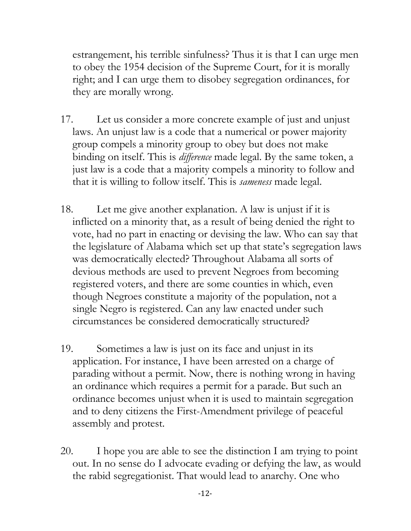estrangement, his terrible sinfulness? Thus it is that I can urge men to obey the 1954 decision of the Supreme Court, for it is morally right; and I can urge them to disobey segregation ordinances, for they are morally wrong.

- 17. Let us consider a more concrete example of just and unjust laws. An unjust law is a code that a numerical or power majority group compels a minority group to obey but does not make binding on itself. This is *difference* made legal. By the same token, a just law is a code that a majority compels a minority to follow and that it is willing to follow itself. This is *sameness* made legal.
- 18. Let me give another explanation. A law is unjust if it is inflicted on a minority that, as a result of being denied the right to vote, had no part in enacting or devising the law. Who can say that the legislature of Alabama which set up that state's segregation laws was democratically elected? Throughout Alabama all sorts of devious methods are used to prevent Negroes from becoming registered voters, and there are some counties in which, even though Negroes constitute a majority of the population, not a single Negro is registered. Can any law enacted under such circumstances be considered democratically structured?
- 19. Sometimes a law is just on its face and unjust in its application. For instance, I have been arrested on a charge of parading without a permit. Now, there is nothing wrong in having an ordinance which requires a permit for a parade. But such an ordinance becomes unjust when it is used to maintain segregation and to deny citizens the First-Amendment privilege of peaceful assembly and protest.
- 20. I hope you are able to see the distinction I am trying to point out. In no sense do I advocate evading or defying the law, as would the rabid segregationist. That would lead to anarchy. One who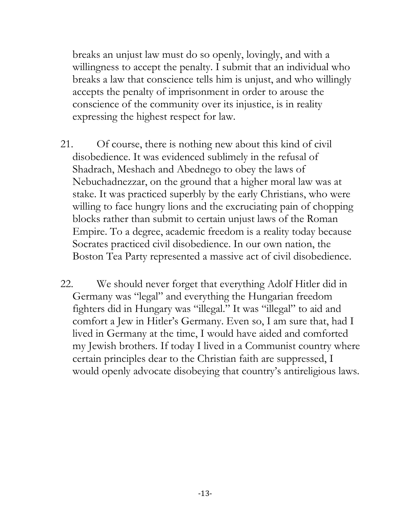breaks an unjust law must do so openly, lovingly, and with a willingness to accept the penalty. I submit that an individual who breaks a law that conscience tells him is unjust, and who willingly accepts the penalty of imprisonment in order to arouse the conscience of the community over its injustice, is in reality expressing the highest respect for law.

- 21. Of course, there is nothing new about this kind of civil disobedience. It was evidenced sublimely in the refusal of Shadrach, Meshach and Abednego to obey the laws of Nebuchadnezzar, on the ground that a higher moral law was at stake. It was practiced superbly by the early Christians, who were willing to face hungry lions and the excruciating pain of chopping blocks rather than submit to certain unjust laws of the Roman Empire. To a degree, academic freedom is a reality today because Socrates practiced civil disobedience. In our own nation, the Boston Tea Party represented a massive act of civil disobedience.
- 22. We should never forget that everything Adolf Hitler did in Germany was "legal" and everything the Hungarian freedom fighters did in Hungary was "illegal." It was "illegal" to aid and comfort a Jew in Hitler's Germany. Even so, I am sure that, had I lived in Germany at the time, I would have aided and comforted my Jewish brothers. If today I lived in a Communist country where certain principles dear to the Christian faith are suppressed, I would openly advocate disobeying that country's antireligious laws.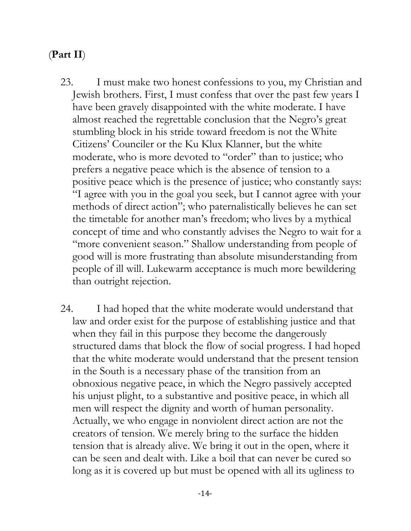## (**Part II**)

- 23. I must make two honest confessions to you, my Christian and Jewish brothers. First, I must confess that over the past few years I have been gravely disappointed with the white moderate. I have almost reached the regrettable conclusion that the Negro's great stumbling block in his stride toward freedom is not the White Citizens' Counciler or the Ku Klux Klanner, but the white moderate, who is more devoted to "order" than to justice; who prefers a negative peace which is the absence of tension to a positive peace which is the presence of justice; who constantly says: "I agree with you in the goal you seek, but I cannot agree with your methods of direct action"; who paternalistically believes he can set the timetable for another man's freedom; who lives by a mythical concept of time and who constantly advises the Negro to wait for a "more convenient season." Shallow understanding from people of good will is more frustrating than absolute misunderstanding from people of ill will. Lukewarm acceptance is much more bewildering than outright rejection.
- 24. I had hoped that the white moderate would understand that law and order exist for the purpose of establishing justice and that when they fail in this purpose they become the dangerously structured dams that block the flow of social progress. I had hoped that the white moderate would understand that the present tension in the South is a necessary phase of the transition from an obnoxious negative peace, in which the Negro passively accepted his unjust plight, to a substantive and positive peace, in which all men will respect the dignity and worth of human personality. Actually, we who engage in nonviolent direct action are not the creators of tension. We merely bring to the surface the hidden tension that is already alive. We bring it out in the open, where it can be seen and dealt with. Like a boil that can never be cured so long as it is covered up but must be opened with all its ugliness to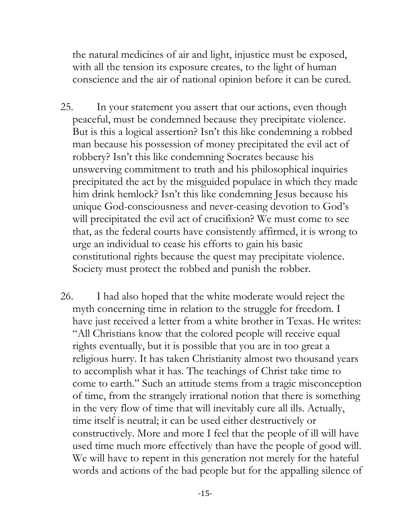the natural medicines of air and light, injustice must be exposed, with all the tension its exposure creates, to the light of human conscience and the air of national opinion before it can be cured.

- 25. In your statement you assert that our actions, even though peaceful, must be condemned because they precipitate violence. But is this a logical assertion? Isn't this like condemning a robbed man because his possession of money precipitated the evil act of robbery? Isn't this like condemning Socrates because his unswerving commitment to truth and his philosophical inquiries precipitated the act by the misguided populace in which they made him drink hemlock? Isn't this like condemning Jesus because his unique God-consciousness and never-ceasing devotion to God's will precipitated the evil act of crucifixion? We must come to see that, as the federal courts have consistently affirmed, it is wrong to urge an individual to cease his efforts to gain his basic constitutional rights because the quest may precipitate violence. Society must protect the robbed and punish the robber.
- 26. I had also hoped that the white moderate would reject the myth concerning time in relation to the struggle for freedom. I have just received a letter from a white brother in Texas. He writes: "All Christians know that the colored people will receive equal rights eventually, but it is possible that you are in too great a religious hurry. It has taken Christianity almost two thousand years to accomplish what it has. The teachings of Christ take time to come to earth." Such an attitude stems from a tragic misconception of time, from the strangely irrational notion that there is something in the very flow of time that will inevitably cure all ills. Actually, time itself is neutral; it can be used either destructively or constructively. More and more I feel that the people of ill will have used time much more effectively than have the people of good will. We will have to repent in this generation not merely for the hateful words and actions of the bad people but for the appalling silence of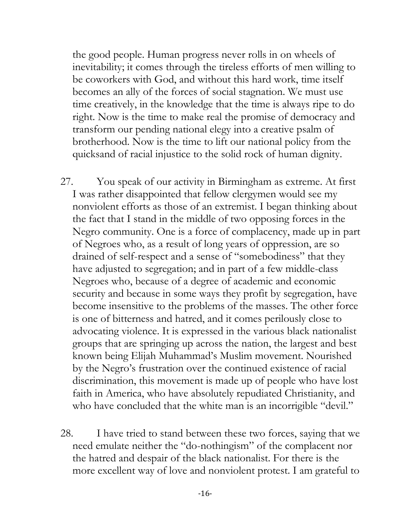the good people. Human progress never rolls in on wheels of inevitability; it comes through the tireless efforts of men willing to be coworkers with God, and without this hard work, time itself becomes an ally of the forces of social stagnation. We must use time creatively, in the knowledge that the time is always ripe to do right. Now is the time to make real the promise of democracy and transform our pending national elegy into a creative psalm of brotherhood. Now is the time to lift our national policy from the quicksand of racial injustice to the solid rock of human dignity.

- 27. You speak of our activity in Birmingham as extreme. At first I was rather disappointed that fellow clergymen would see my nonviolent efforts as those of an extremist. I began thinking about the fact that I stand in the middle of two opposing forces in the Negro community. One is a force of complacency, made up in part of Negroes who, as a result of long years of oppression, are so drained of self-respect and a sense of "somebodiness" that they have adjusted to segregation; and in part of a few middle-class Negroes who, because of a degree of academic and economic security and because in some ways they profit by segregation, have become insensitive to the problems of the masses. The other force is one of bitterness and hatred, and it comes perilously close to advocating violence. It is expressed in the various black nationalist groups that are springing up across the nation, the largest and best known being Elijah Muhammad's Muslim movement. Nourished by the Negro's frustration over the continued existence of racial discrimination, this movement is made up of people who have lost faith in America, who have absolutely repudiated Christianity, and who have concluded that the white man is an incorrigible "devil."
- 28. I have tried to stand between these two forces, saying that we need emulate neither the "do-nothingism" of the complacent nor the hatred and despair of the black nationalist. For there is the more excellent way of love and nonviolent protest. I am grateful to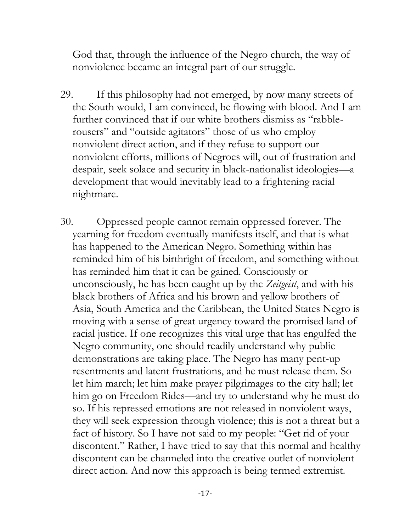God that, through the influence of the Negro church, the way of nonviolence became an integral part of our struggle.

- 29. If this philosophy had not emerged, by now many streets of the South would, I am convinced, be flowing with blood. And I am further convinced that if our white brothers dismiss as "rabblerousers" and "outside agitators" those of us who employ nonviolent direct action, and if they refuse to support our nonviolent efforts, millions of Negroes will, out of frustration and despair, seek solace and security in black-nationalist ideologies—a development that would inevitably lead to a frightening racial nightmare.
- 30. Oppressed people cannot remain oppressed forever. The yearning for freedom eventually manifests itself, and that is what has happened to the American Negro. Something within has reminded him of his birthright of freedom, and something without has reminded him that it can be gained. Consciously or unconsciously, he has been caught up by the *Zeitgeist*, and with his black brothers of Africa and his brown and yellow brothers of Asia, South America and the Caribbean, the United States Negro is moving with a sense of great urgency toward the promised land of racial justice. If one recognizes this vital urge that has engulfed the Negro community, one should readily understand why public demonstrations are taking place. The Negro has many pent-up resentments and latent frustrations, and he must release them. So let him march; let him make prayer pilgrimages to the city hall; let him go on Freedom Rides—and try to understand why he must do so. If his repressed emotions are not released in nonviolent ways, they will seek expression through violence; this is not a threat but a fact of history. So I have not said to my people: "Get rid of your discontent." Rather, I have tried to say that this normal and healthy discontent can be channeled into the creative outlet of nonviolent direct action. And now this approach is being termed extremist.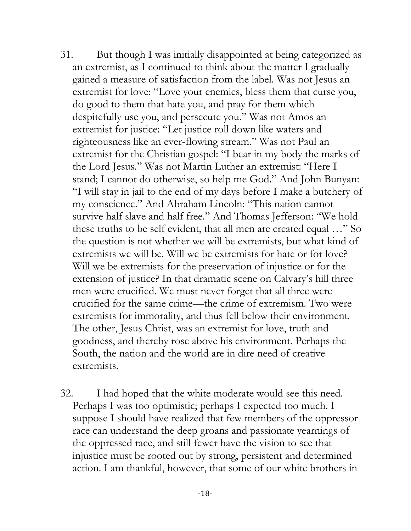- 31. But though I was initially disappointed at being categorized as an extremist, as I continued to think about the matter I gradually gained a measure of satisfaction from the label. Was not Jesus an extremist for love: "Love your enemies, bless them that curse you, do good to them that hate you, and pray for them which despitefully use you, and persecute you." Was not Amos an extremist for justice: "Let justice roll down like waters and righteousness like an ever-flowing stream." Was not Paul an extremist for the Christian gospel: "I bear in my body the marks of the Lord Jesus." Was not Martin Luther an extremist: "Here I stand; I cannot do otherwise, so help me God." And John Bunyan: "I will stay in jail to the end of my days before I make a butchery of my conscience." And Abraham Lincoln: "This nation cannot survive half slave and half free." And Thomas Jefferson: "We hold these truths to be self evident, that all men are created equal …" So the question is not whether we will be extremists, but what kind of extremists we will be. Will we be extremists for hate or for love? Will we be extremists for the preservation of injustice or for the extension of justice? In that dramatic scene on Calvary's hill three men were crucified. We must never forget that all three were crucified for the same crime—the crime of extremism. Two were extremists for immorality, and thus fell below their environment. The other, Jesus Christ, was an extremist for love, truth and goodness, and thereby rose above his environment. Perhaps the South, the nation and the world are in dire need of creative extremists.
- 32. I had hoped that the white moderate would see this need. Perhaps I was too optimistic; perhaps I expected too much. I suppose I should have realized that few members of the oppressor race can understand the deep groans and passionate yearnings of the oppressed race, and still fewer have the vision to see that injustice must be rooted out by strong, persistent and determined action. I am thankful, however, that some of our white brothers in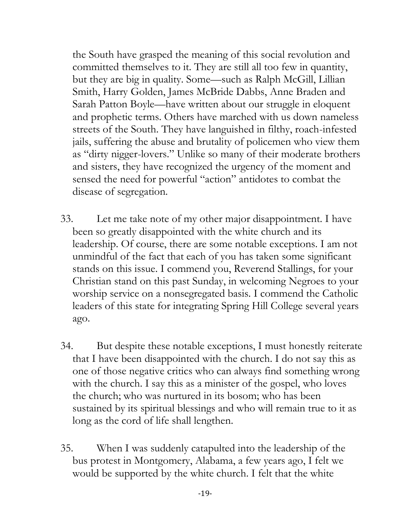the South have grasped the meaning of this social revolution and committed themselves to it. They are still all too few in quantity, but they are big in quality. Some—such as Ralph McGill, Lillian Smith, Harry Golden, James McBride Dabbs, Anne Braden and Sarah Patton Boyle—have written about our struggle in eloquent and prophetic terms. Others have marched with us down nameless streets of the South. They have languished in filthy, roach-infested jails, suffering the abuse and brutality of policemen who view them as "dirty nigger-lovers." Unlike so many of their moderate brothers and sisters, they have recognized the urgency of the moment and sensed the need for powerful "action" antidotes to combat the disease of segregation.

- 33. Let me take note of my other major disappointment. I have been so greatly disappointed with the white church and its leadership. Of course, there are some notable exceptions. I am not unmindful of the fact that each of you has taken some significant stands on this issue. I commend you, Reverend Stallings, for your Christian stand on this past Sunday, in welcoming Negroes to your worship service on a nonsegregated basis. I commend the Catholic leaders of this state for integrating Spring Hill College several years ago.
- 34. But despite these notable exceptions, I must honestly reiterate that I have been disappointed with the church. I do not say this as one of those negative critics who can always find something wrong with the church. I say this as a minister of the gospel, who loves the church; who was nurtured in its bosom; who has been sustained by its spiritual blessings and who will remain true to it as long as the cord of life shall lengthen.
- 35. When I was suddenly catapulted into the leadership of the bus protest in Montgomery, Alabama, a few years ago, I felt we would be supported by the white church. I felt that the white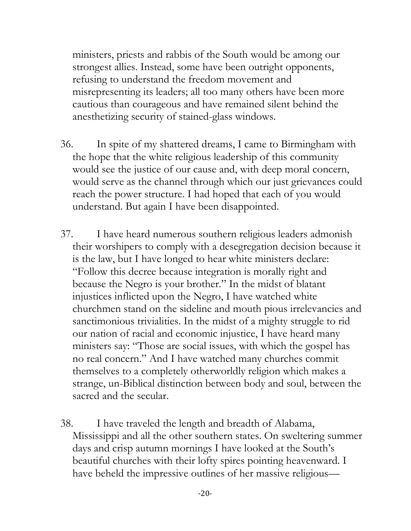ministers, priests and rabbis of the South would be among our strongest allies. Instead, some have been outright opponents, refusing to understand the freedom movement and misrepresenting its leaders; all too many others have been more cautious than courageous and have remained silent behind the anesthetizing security of stained-glass windows.

- 36. In spite of my shattered dreams, I came to Birmingham with the hope that the white religious leadership of this community would see the justice of our cause and, with deep moral concern, would serve as the channel through which our just grievances could reach the power structure. I had hoped that each of you would understand. But again I have been disappointed.
- 37. I have heard numerous southern religious leaders admonish their worshipers to comply with a desegregation decision because it is the law, but I have longed to hear white ministers declare: "Follow this decree because integration is morally right and because the Negro is your brother." In the midst of blatant injustices inflicted upon the Negro, I have watched white churchmen stand on the sideline and mouth pious irrelevancies and sanctimonious trivialities. In the midst of a mighty struggle to rid our nation of racial and economic injustice, I have heard many ministers say: "Those are social issues, with which the gospel has no real concern." And I have watched many churches commit themselves to a completely otherworldly religion which makes a strange, un-Biblical distinction between body and soul, between the sacred and the secular.
- 38. I have traveled the length and breadth of Alabama, Mississippi and all the other southern states. On sweltering summer days and crisp autumn mornings I have looked at the South's beautiful churches with their lofty spires pointing heavenward. I have beheld the impressive outlines of her massive religious—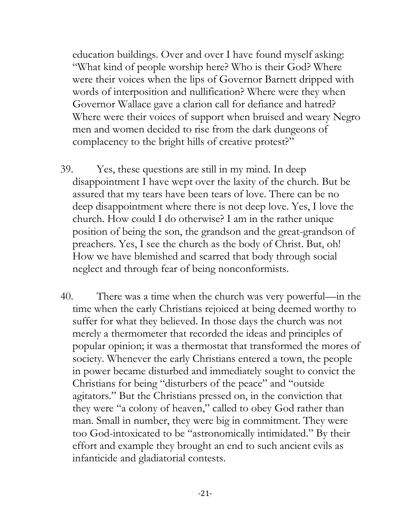education buildings. Over and over I have found myself asking: "What kind of people worship here? Who is their God? Where were their voices when the lips of Governor Barnett dripped with words of interposition and nullification? Where were they when Governor Wallace gave a clarion call for defiance and hatred? Where were their voices of support when bruised and weary Negro men and women decided to rise from the dark dungeons of complacency to the bright hills of creative protest?"

- 39. Yes, these questions are still in my mind. In deep disappointment I have wept over the laxity of the church. But be assured that my tears have been tears of love. There can be no deep disappointment where there is not deep love. Yes, I love the church. How could I do otherwise? I am in the rather unique position of being the son, the grandson and the great-grandson of preachers. Yes, I see the church as the body of Christ. But, oh! How we have blemished and scarred that body through social neglect and through fear of being nonconformists.
- 40. There was a time when the church was very powerful—in the time when the early Christians rejoiced at being deemed worthy to suffer for what they believed. In those days the church was not merely a thermometer that recorded the ideas and principles of popular opinion; it was a thermostat that transformed the mores of society. Whenever the early Christians entered a town, the people in power became disturbed and immediately sought to convict the Christians for being "disturbers of the peace" and "outside agitators." But the Christians pressed on, in the conviction that they were "a colony of heaven," called to obey God rather than man. Small in number, they were big in commitment. They were too God-intoxicated to be "astronomically intimidated." By their effort and example they brought an end to such ancient evils as infanticide and gladiatorial contests.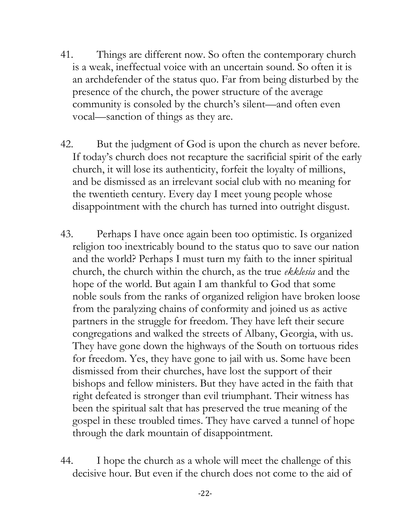- 41. Things are different now. So often the contemporary church is a weak, ineffectual voice with an uncertain sound. So often it is an archdefender of the status quo. Far from being disturbed by the presence of the church, the power structure of the average community is consoled by the church's silent—and often even vocal—sanction of things as they are.
- 42. But the judgment of God is upon the church as never before. If today's church does not recapture the sacrificial spirit of the early church, it will lose its authenticity, forfeit the loyalty of millions, and be dismissed as an irrelevant social club with no meaning for the twentieth century. Every day I meet young people whose disappointment with the church has turned into outright disgust.
- 43. Perhaps I have once again been too optimistic. Is organized religion too inextricably bound to the status quo to save our nation and the world? Perhaps I must turn my faith to the inner spiritual church, the church within the church, as the true *ekklesia* and the hope of the world. But again I am thankful to God that some noble souls from the ranks of organized religion have broken loose from the paralyzing chains of conformity and joined us as active partners in the struggle for freedom. They have left their secure congregations and walked the streets of Albany, Georgia, with us. They have gone down the highways of the South on tortuous rides for freedom. Yes, they have gone to jail with us. Some have been dismissed from their churches, have lost the support of their bishops and fellow ministers. But they have acted in the faith that right defeated is stronger than evil triumphant. Their witness has been the spiritual salt that has preserved the true meaning of the gospel in these troubled times. They have carved a tunnel of hope through the dark mountain of disappointment.
- 44. I hope the church as a whole will meet the challenge of this decisive hour. But even if the church does not come to the aid of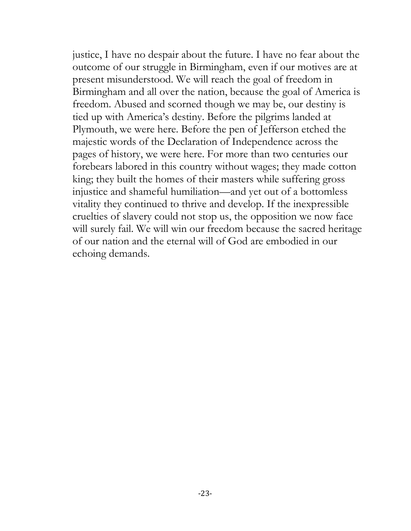justice, I have no despair about the future. I have no fear about the outcome of our struggle in Birmingham, even if our motives are at present misunderstood. We will reach the goal of freedom in Birmingham and all over the nation, because the goal of America is freedom. Abused and scorned though we may be, our destiny is tied up with America's destiny. Before the pilgrims landed at Plymouth, we were here. Before the pen of Jefferson etched the majestic words of the Declaration of Independence across the pages of history, we were here. For more than two centuries our forebears labored in this country without wages; they made cotton king; they built the homes of their masters while suffering gross injustice and shameful humiliation—and yet out of a bottomless vitality they continued to thrive and develop. If the inexpressible cruelties of slavery could not stop us, the opposition we now face will surely fail. We will win our freedom because the sacred heritage of our nation and the eternal will of God are embodied in our echoing demands.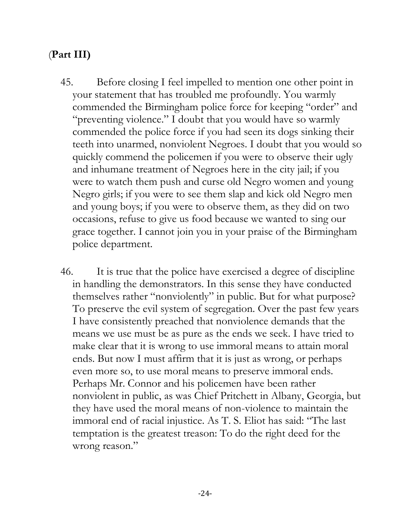# (**Part III)**

- 45. Before closing I feel impelled to mention one other point in your statement that has troubled me profoundly. You warmly commended the Birmingham police force for keeping "order" and "preventing violence." I doubt that you would have so warmly commended the police force if you had seen its dogs sinking their teeth into unarmed, nonviolent Negroes. I doubt that you would so quickly commend the policemen if you were to observe their ugly and inhumane treatment of Negroes here in the city jail; if you were to watch them push and curse old Negro women and young Negro girls; if you were to see them slap and kick old Negro men and young boys; if you were to observe them, as they did on two occasions, refuse to give us food because we wanted to sing our grace together. I cannot join you in your praise of the Birmingham police department.
- 46. It is true that the police have exercised a degree of discipline in handling the demonstrators. In this sense they have conducted themselves rather "nonviolently" in public. But for what purpose? To preserve the evil system of segregation. Over the past few years I have consistently preached that nonviolence demands that the means we use must be as pure as the ends we seek. I have tried to make clear that it is wrong to use immoral means to attain moral ends. But now I must affirm that it is just as wrong, or perhaps even more so, to use moral means to preserve immoral ends. Perhaps Mr. Connor and his policemen have been rather nonviolent in public, as was Chief Pritchett in Albany, Georgia, but they have used the moral means of non-violence to maintain the immoral end of racial injustice. As T. S. Eliot has said: "The last temptation is the greatest treason: To do the right deed for the wrong reason."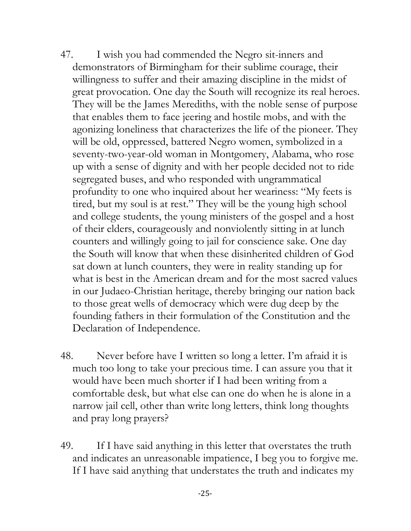- 47. I wish you had commended the Negro sit-inners and demonstrators of Birmingham for their sublime courage, their willingness to suffer and their amazing discipline in the midst of great provocation. One day the South will recognize its real heroes. They will be the James Merediths, with the noble sense of purpose that enables them to face jeering and hostile mobs, and with the agonizing loneliness that characterizes the life of the pioneer. They will be old, oppressed, battered Negro women, symbolized in a seventy-two-year-old woman in Montgomery, Alabama, who rose up with a sense of dignity and with her people decided not to ride segregated buses, and who responded with ungrammatical profundity to one who inquired about her weariness: "My feets is tired, but my soul is at rest." They will be the young high school and college students, the young ministers of the gospel and a host of their elders, courageously and nonviolently sitting in at lunch counters and willingly going to jail for conscience sake. One day the South will know that when these disinherited children of God sat down at lunch counters, they were in reality standing up for what is best in the American dream and for the most sacred values in our Judaeo-Christian heritage, thereby bringing our nation back to those great wells of democracy which were dug deep by the founding fathers in their formulation of the Constitution and the Declaration of Independence.
- 48. Never before have I written so long a letter. I'm afraid it is much too long to take your precious time. I can assure you that it would have been much shorter if I had been writing from a comfortable desk, but what else can one do when he is alone in a narrow jail cell, other than write long letters, think long thoughts and pray long prayers?
- 49. If I have said anything in this letter that overstates the truth and indicates an unreasonable impatience, I beg you to forgive me. If I have said anything that understates the truth and indicates my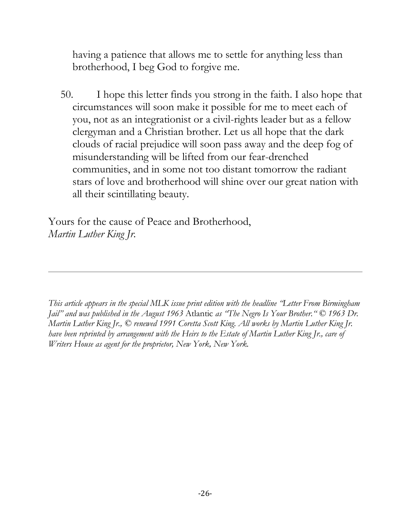having a patience that allows me to settle for anything less than brotherhood, I beg God to forgive me.

50. I hope this letter finds you strong in the faith. I also hope that circumstances will soon make it possible for me to meet each of you, not as an integrationist or a civil-rights leader but as a fellow clergyman and a Christian brother. Let us all hope that the dark clouds of racial prejudice will soon pass away and the deep fog of misunderstanding will be lifted from our fear-drenched communities, and in some not too distant tomorrow the radiant stars of love and brotherhood will shine over our great nation with all their scintillating beauty.

Yours for the cause of Peace and Brotherhood, *Martin Luther King Jr.*

*This article appears in the special MLK issue print edition with the headline "Letter From Birmingham Jail" and was published in the August 1963* Atlantic *as "The Negro Is Your Brother." © 1963 Dr. Martin Luther King Jr., © renewed 1991 Coretta Scott King. All works by Martin Luther King Jr. have been reprinted by arrangement with the Heirs to the Estate of Martin Luther King Jr., care of Writers House as agent for the proprietor, New York, New York.*